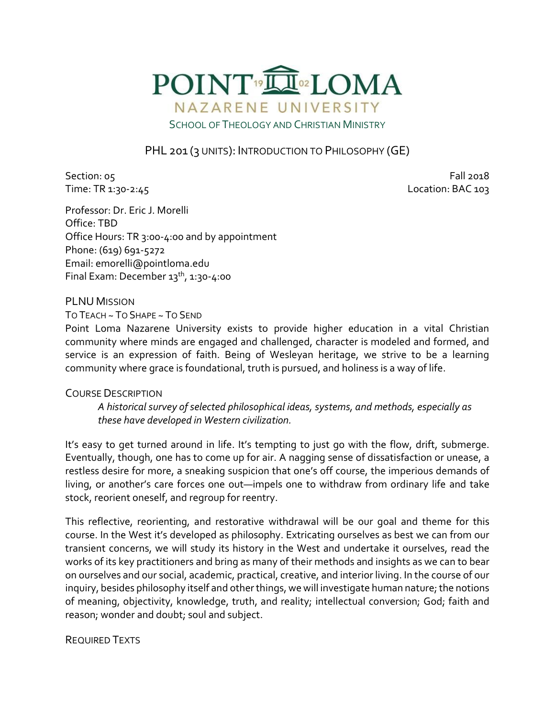

# PHL 201 (3 UNITS): INTRODUCTION TO PHILOSOPHY (GE)

Section: 05 Fall 2018 Time: TR 1:30-2:45 Location: BAC 103

Professor: Dr. Eric J. Morelli Office: TBD Office Hours: TR 3:00-4:00 and by appointment Phone: (619) 691-5272 Email: emorelli@pointloma.edu Final Exam: December  $13^{th}$ ,  $1:30-4:00$ 

PLNU MISSION

TO TEACH ~ TO SHAPE ~ TO SEND

Point Loma Nazarene University exists to provide higher education in a vital Christian community where minds are engaged and challenged, character is modeled and formed, and service is an expression of faith. Being of Wesleyan heritage, we strive to be a learning community where grace is foundational, truth is pursued, and holiness is a way of life.

#### COURSE DESCRIPTION

*A historical survey of selected philosophical ideas, systems, and methods, especially as these have developed in Western civilization.*

It's easy to get turned around in life. It's tempting to just go with the flow, drift, submerge. Eventually, though, one has to come up for air. A nagging sense of dissatisfaction or unease, a restless desire for more, a sneaking suspicion that one's off course, the imperious demands of living, or another's care forces one out—impels one to withdraw from ordinary life and take stock, reorient oneself, and regroup for reentry.

This reflective, reorienting, and restorative withdrawal will be our goal and theme for this course. In the West it's developed as philosophy. Extricating ourselves as best we can from our transient concerns, we will study its history in the West and undertake it ourselves, read the works of its key practitioners and bring as many of their methods and insights as we can to bear on ourselves and our social, academic, practical, creative, and interior living. In the course of our inquiry, besides philosophy itself and other things, we will investigate human nature; the notions of meaning, objectivity, knowledge, truth, and reality; intellectual conversion; God; faith and reason; wonder and doubt; soul and subject.

#### REQUIRED TEXTS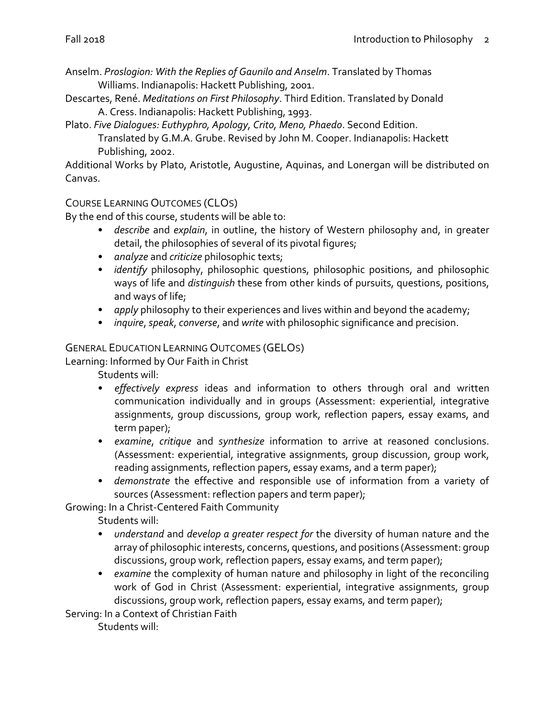Anselm. *Proslogion: With the Replies of Gaunilo and Anselm*. Translated by Thomas Williams. Indianapolis: Hackett Publishing, 2001.

Descartes, René. *Meditations on First Philosophy*. Third Edition. Translated by Donald A. Cress. Indianapolis: Hackett Publishing, 1993.

Plato. *Five Dialogues: Euthyphro, Apology, Crito, Meno, Phaedo*. Second Edition.

Translated by G.M.A. Grube. Revised by John M. Cooper. Indianapolis: Hackett Publishing, 2002.

Additional Works by Plato, Aristotle, Augustine, Aquinas, and Lonergan will be distributed on Canvas.

## COURSE LEARNING OUTCOMES (CLOS)

By the end of this course, students will be able to:

- *describe* and *explain*, in outline, the history of Western philosophy and, in greater detail, the philosophies of several of its pivotal figures;
- *analyze* and *criticize* philosophic texts;
- *identify* philosophy, philosophic questions, philosophic positions, and philosophic ways of life and *distinguish* these from other kinds of pursuits, questions, positions, and ways of life;
- *apply* philosophy to their experiences and lives within and beyond the academy;
- *inquire*, *speak*, *converse*, and *write* with philosophic significance and precision.

### GENERAL EDUCATION LEARNING OUTCOMES (GELOS)

Learning: Informed by Our Faith in Christ

Students will:

- *effectively express* ideas and information to others through oral and written communication individually and in groups (Assessment: experiential, integrative assignments, group discussions, group work, reflection papers, essay exams, and term paper);
- *examine*, *critique* and *synthesize* information to arrive at reasoned conclusions. (Assessment: experiential, integrative assignments, group discussion, group work, reading assignments, reflection papers, essay exams, and a term paper);
- *demonstrate* the effective and responsible use of information from a variety of sources (Assessment: reflection papers and term paper);

Growing: In a Christ-Centered Faith Community

Students will:

- *understand* and *develop a greater respect for* the diversity of human nature and the array of philosophic interests, concerns, questions, and positions (Assessment: group discussions, group work, reflection papers, essay exams, and term paper);
- *examine* the complexity of human nature and philosophy in light of the reconciling work of God in Christ (Assessment: experiential, integrative assignments, group discussions, group work, reflection papers, essay exams, and term paper);

Serving: In a Context of Christian Faith

Students will: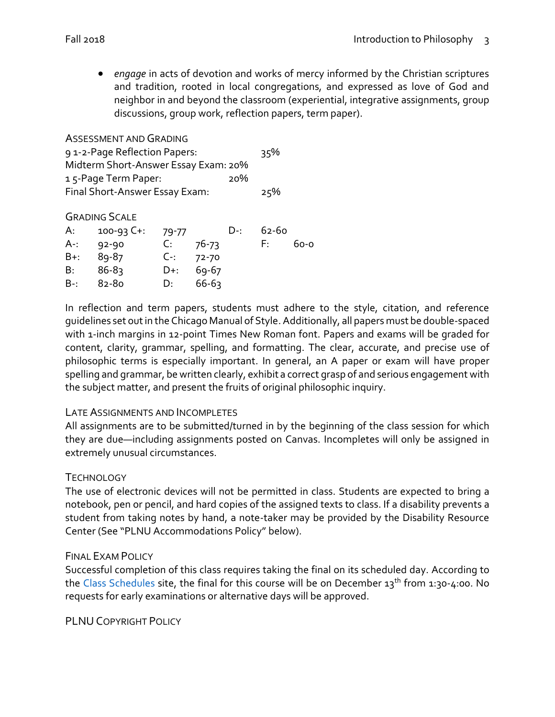*engage* in acts of devotion and works of mercy informed by the Christian scriptures and tradition, rooted in local congregations, and expressed as love of God and neighbor in and beyond the classroom (experiential, integrative assignments, group discussions, group work, reflection papers, term paper).

ASSESSMENT AND GRADING 9 1-2-Page Reflection Papers: 35% Midterm Short-Answer Essay Exam: 20% 1 5-Page Term Paper: 20% Final Short-Answer Essay Exam: 25%

#### GRADING SCALE

|               | A: 100-93 C+: 79-77 |             |           | D-: | 62-60 |      |
|---------------|---------------------|-------------|-----------|-----|-------|------|
| $A-1$         | 92-90               | $C_{\cdot}$ | 76-73     |     | F: I  | 60-0 |
|               | B+: 89-87           | $C-2$ 72-70 |           |     |       |      |
| B:            | 86-8ว               | D+:         | $69 - 67$ |     |       |      |
| $B - 82 - 80$ |                     | D:          | 66-6ว     |     |       |      |

In reflection and term papers, students must adhere to the style, citation, and reference guidelines set out in the Chicago Manual of Style. Additionally, all papers must be double-spaced with 1-inch margins in 12-point Times New Roman font. Papers and exams will be graded for content, clarity, grammar, spelling, and formatting. The clear, accurate, and precise use of philosophic terms is especially important. In general, an A paper or exam will have proper spelling and grammar, be written clearly, exhibit a correct grasp of and serious engagement with the subject matter, and present the fruits of original philosophic inquiry.

#### LATE ASSIGNMENTS AND INCOMPLETES

All assignments are to be submitted/turned in by the beginning of the class session for which they are due—including assignments posted on Canvas. Incompletes will only be assigned in extremely unusual circumstances.

#### **TECHNOLOGY**

The use of electronic devices will not be permitted in class. Students are expected to bring a notebook, pen or pencil, and hard copies of the assigned texts to class. If a disability prevents a student from taking notes by hand, a note-taker may be provided by the Disability Resource Center (See "PLNU Accommodations Policy" below).

#### FINAL EXAM POLICY

Successful completion of this class requires taking the final on its scheduled day. According to the [Class Schedules](http://www.pointloma.edu/experience/academics/class-schedules) site, the final for this course will be on December  $13^{th}$  from 1:30-4:00. No requests for early examinations or alternative days will be approved.

PLNU COPYRIGHT POLICY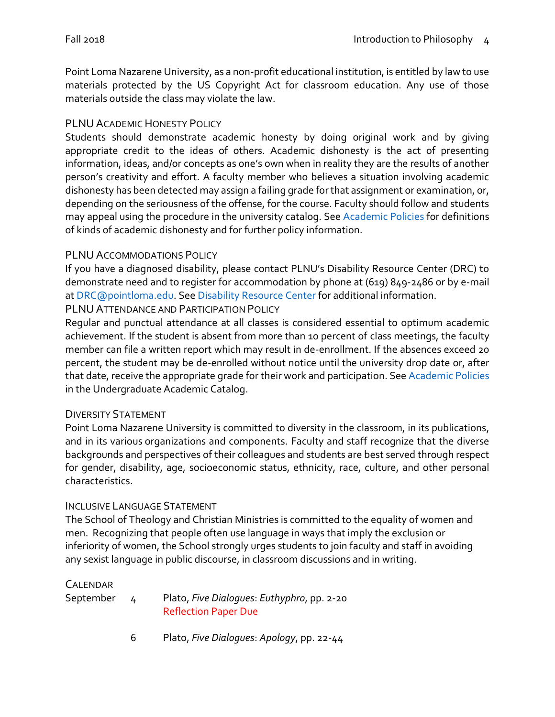Point Loma Nazarene University, as a non-profit educational institution, is entitled by law to use materials protected by the US Copyright Act for classroom education. Any use of those materials outside the class may violate the law.

## PLNU ACADEMIC HONESTY POLICY

Students should demonstrate academic honesty by doing original work and by giving appropriate credit to the ideas of others. Academic dishonesty is the act of presenting information, ideas, and/or concepts as one's own when in reality they are the results of another person's creativity and effort. A faculty member who believes a situation involving academic dishonesty has been detected may assign a failing grade for that assignment or examination, or, depending on the seriousness of the offense, for the course. Faculty should follow and students may appeal using the procedure in the university catalog. Se[e Academic Policies](http://catalog.pointloma.edu/content.php?catoid=18&navoid=1278) for definitions of kinds of academic dishonesty and for further policy information.

## PLNU ACCOMMODATIONS POLICY

If you have a diagnosed disability, please contact PLNU's Disability Resource Center (DRC) to demonstrate need and to register for accommodation by phone at (619) 849-2486 or by e-mail a[t DRC@pointloma.edu.](mailto:DRC@pointloma.edu) See [Disability Resource Center](http://www.pointloma.edu/experience/offices/administrative-offices/academic-advising-office/disability-resource-center) for additional information.

### PLNU ATTENDANCE AND PARTICIPATION POLICY

Regular and punctual attendance at all classes is considered essential to optimum academic achievement. If the student is absent from more than 10 percent of class meetings, the faculty member can file a written report which may result in de-enrollment. If the absences exceed 20 percent, the student may be de-enrolled without notice until the university drop date or, after that date, receive the appropriate grade for their work and participation. See [Academic Policies](http://catalog.pointloma.edu/content.php?catoid=18&navoid=1278) in the Undergraduate Academic Catalog.

## DIVERSITY STATEMENT

Point Loma Nazarene University is committed to diversity in the classroom, in its publications, and in its various organizations and components. Faculty and staff recognize that the diverse backgrounds and perspectives of their colleagues and students are best served through respect for gender, disability, age, socioeconomic status, ethnicity, race, culture, and other personal characteristics.

#### INCLUSIVE LANGUAGE STATEMENT

The School of Theology and Christian Ministries is committed to the equality of women and men. Recognizing that people often use language in ways that imply the exclusion or inferiority of women, the School strongly urges students to join faculty and staff in avoiding any sexist language in public discourse, in classroom discussions and in writing.

#### CALENDAR

| September | Plato, Five Dialogues: Euthyphro, pp. 2-20 |
|-----------|--------------------------------------------|
|           | <b>Reflection Paper Due</b>                |

6 Plato, *Five Dialogues*: *Apology*, pp. 22-44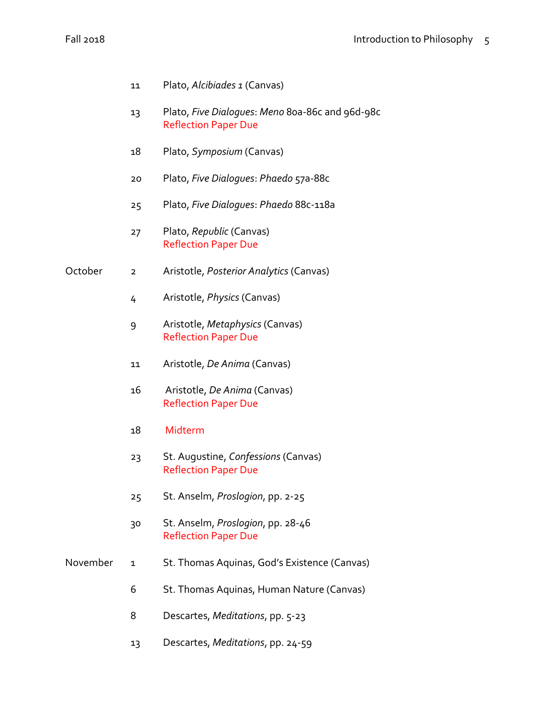- Plato, *Alcibiades 1* (Canvas)
- Plato, *Five Dialogues*: *Meno* 80a-86c and 96d-98c Reflection Paper Due
- Plato, *Symposium* (Canvas)
- Plato, *Five Dialogues*: *Phaedo* 57a-88c
- Plato, *Five Dialogues*: *Phaedo* 88c-118a
- Plato, *Republic* (Canvas) Reflection Paper Due
- October 2 Aristotle, *Posterior Analytics* (Canvas)
	- Aristotle, *Physics* (Canvas)
	- Aristotle, *Metaphysics* (Canvas) Reflection Paper Due
	- Aristotle, *De Anima* (Canvas)
	- Aristotle, *De Anima* (Canvas) Reflection Paper Due
	- Midterm
	- St. Augustine, *Confessions* (Canvas) Reflection Paper Due
	- St. Anselm, *Proslogion*, pp. 2-25
	- St. Anselm, *Proslogion*, pp. 28-46 Reflection Paper Due
- November 1 St. Thomas Aquinas, God's Existence (Canvas)
	- St. Thomas Aquinas, Human Nature (Canvas)
	- Descartes, *Meditations*, pp. 5-23
	- Descartes, *Meditations*, pp. 24-59